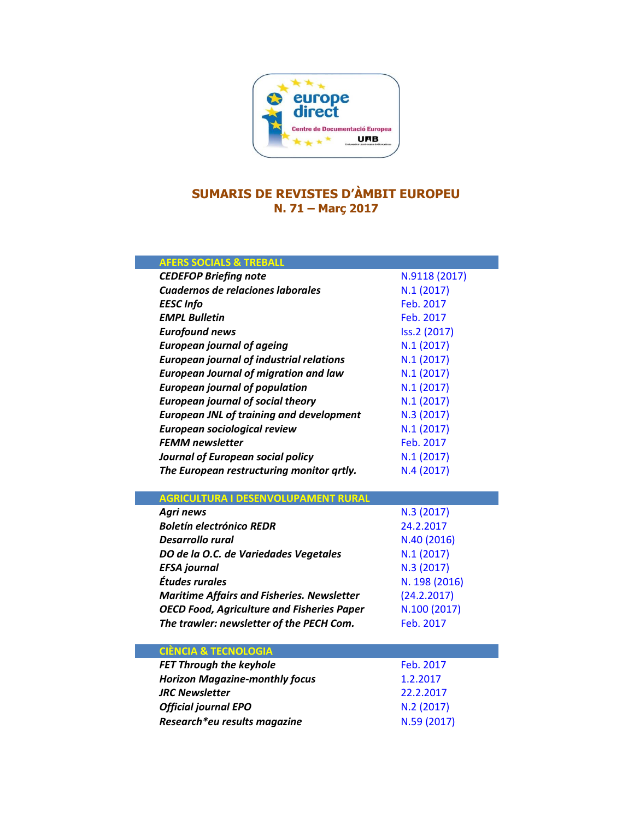

## **SUMARIS DE REVISTES D'ÀMBIT EUROPEU N. 71 – Març 2017**

| <b>AFERS SOCIALS &amp; TREBALL</b>                          |                           |
|-------------------------------------------------------------|---------------------------|
| <b>CEDEFOP Briefing note</b>                                | N.9118 (2017)             |
| Cuadernos de relaciones laborales                           | N.1(2017)                 |
| <b>EESC Info</b>                                            | Feb. 2017                 |
| <b>EMPL Bulletin</b>                                        | Feb. 2017                 |
| <b>Eurofound news</b>                                       | Iss.2 (2017)              |
| <b>European journal of ageing</b>                           | N.1(2017)                 |
| <b>European journal of industrial relations</b>             | N.1(2017)                 |
| <b>European Journal of migration and law</b>                | N.1(2017)                 |
| <b>European journal of population</b>                       | N.1(2017)                 |
| <b>European journal of social theory</b>                    | N.1(2017)                 |
| <b>European JNL of training and development</b>             | N.3 (2017)                |
| <b>European sociological review</b>                         | N.1(2017)                 |
| <b>FEMM newsletter</b>                                      | Feb. 2017                 |
| Journal of European social policy                           | N.1(2017)                 |
| The European restructuring monitor qrtly.                   | N.4(2017)                 |
|                                                             |                           |
|                                                             |                           |
| <b>AGRICULTURA I DESENVOLUPAMENT RURAL</b>                  |                           |
| <b>Agri news</b>                                            | N.3 (2017)                |
| <b>Boletín electrónico REDR</b>                             | 24.2.2017                 |
| <b>Desarrollo rural</b>                                     | N.40 (2016)               |
| DO de la O.C. de Variedades Vegetales                       | N.1(2017)                 |
| <b>EFSA</b> journal                                         | N.3 (2017)                |
| Études rurales                                              | N. 198 (2016)             |
| <b>Maritime Affairs and Fisheries. Newsletter</b>           | (24.2.2017)               |
| <b>OECD Food, Agriculture and Fisheries Paper</b>           | N.100 (2017)              |
| The trawler: newsletter of the PECH Com.                    | Feb. 2017                 |
|                                                             |                           |
| <b>CIÈNCIA &amp; TECNOLOGIA</b>                             |                           |
| <b>FET Through the keyhole</b>                              | Feb. 2017                 |
| <b>Horizon Magazine-monthly focus</b>                       | 1.2.2017                  |
| <b>JRC Newsletter</b>                                       | 22.2.2017                 |
| <b>Official journal EPO</b><br>Research*eu results magazine | N.2 (2017)<br>N.59 (2017) |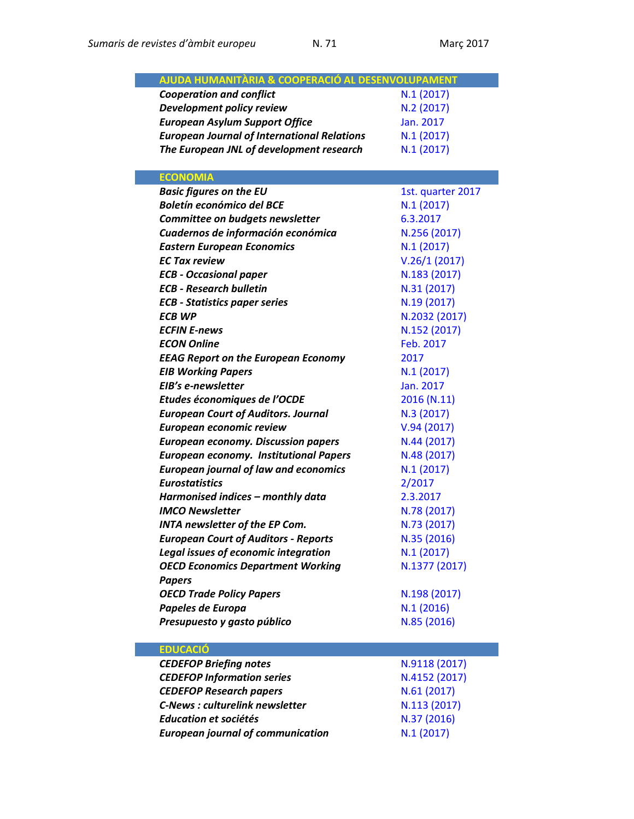| AJUDA HUMANITÀRIA & COOPERACIÓ AL DESENVOLUPAMENT  |                         |
|----------------------------------------------------|-------------------------|
|                                                    |                         |
| <b>Cooperation and conflict</b>                    | N.1(2017)<br>N.2 (2017) |
| Development policy review                          |                         |
| <b>European Asylum Support Office</b>              | Jan. 2017               |
| <b>European Journal of International Relations</b> | N.1(2017)               |
| The European JNL of development research           | N.1(2017)               |
| <b>ECONOMIA</b>                                    |                         |
| <b>Basic figures on the EU</b>                     | 1st. quarter 2017       |
| <b>Boletín económico del BCE</b>                   | N.1(2017)               |
| Committee on budgets newsletter                    | 6.3.2017                |
| Cuadernos de información económica                 | N.256 (2017)            |
| <b>Eastern European Economics</b>                  | N.1(2017)               |
| <b>EC Tax review</b>                               | V.26/1(2017)            |
| <b>ECB - Occasional paper</b>                      | N.183 (2017)            |
| <b>ECB - Research bulletin</b>                     | N.31 (2017)             |
| <b>ECB - Statistics paper series</b>               | N.19 (2017)             |
| ECB WP                                             | N.2032 (2017)           |
| <b>ECFIN E-news</b>                                | N.152 (2017)            |
| <b>ECON Online</b>                                 | Feb. 2017               |
| <b>EEAG Report on the European Economy</b>         | 2017                    |
| <b>EIB Working Papers</b>                          | N.1(2017)               |
| EIB's e-newsletter                                 | Jan. 2017               |
| Etudes économiques de l'OCDE                       | 2016 (N.11)             |
| <b>European Court of Auditors. Journal</b>         | N.3(2017)               |
| European economic review                           | V.94(2017)              |
| <b>European economy. Discussion papers</b>         | N.44 (2017)             |
| <b>European economy. Institutional Papers</b>      | N.48 (2017)             |
| <b>European journal of law and economics</b>       | N.1(2017)               |
| <b>Eurostatistics</b>                              | 2/2017                  |
| Harmonised indices - monthly data                  | 2.3.2017                |
| <b>IMCO Newsletter</b>                             | N.78 (2017)             |
| <b>INTA newsletter of the EP Com.</b>              | N.73 (2017)             |
| <b>European Court of Auditors - Reports</b>        | N.35 (2016)             |
| Legal issues of economic integration               | N.1(2017)               |
| <b>OECD Economics Department Working</b>           | N.1377 (2017)           |
| <b>Papers</b>                                      |                         |
| <b>OECD Trade Policy Papers</b>                    | N.198 (2017)            |
| Papeles de Europa                                  | N.1(2016)               |
| Presupuesto y gasto público                        | N.85 (2016)             |
|                                                    |                         |
| <b>EDUCACIÓ</b>                                    |                         |
| <b>CEDEFOP Briefing notes</b>                      | N.9118 (2017)           |
|                                                    |                         |

| <b>CEDEFOP Briefing notes</b>            | N.9118 (2017) |
|------------------------------------------|---------------|
| <b>CEDEFOP Information series</b>        | N.4152 (2017) |
| <b>CEDEFOP Research papers</b>           | N.61(2017)    |
| <b>C-News: culturelink newsletter</b>    | N.113 (2017)  |
| Education et sociétés                    | N.37 (2016)   |
| <b>European journal of communication</b> | N.1(2017)     |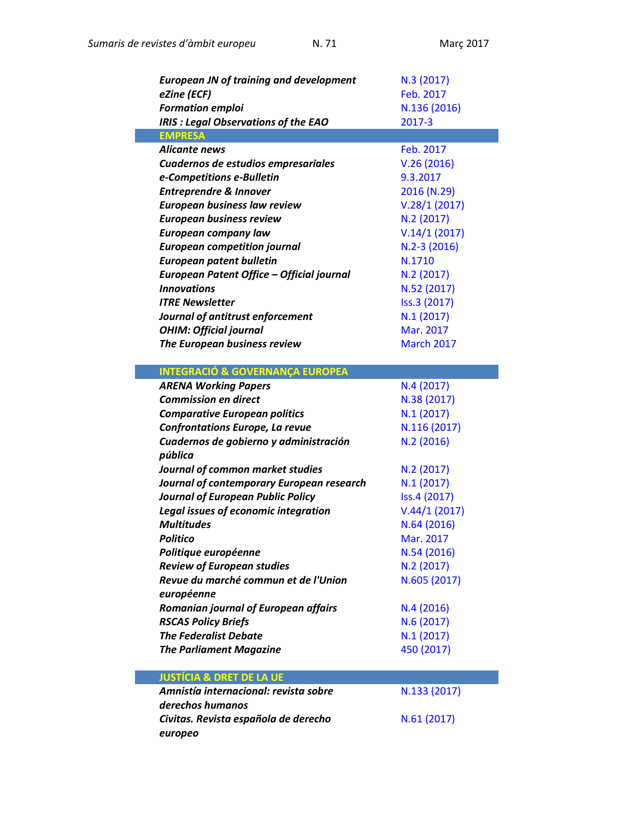| <b>European JN of training and development</b><br>eZine (ECF)<br><b>Formation emploi</b> | N.3 (2017)<br>Feb. 2017<br>N.136 (2016) |
|------------------------------------------------------------------------------------------|-----------------------------------------|
| <b>IRIS: Legal Observations of the EAO</b>                                               | 2017-3                                  |
| <b>EMPRESA</b>                                                                           |                                         |
| Alicante news                                                                            | Feb. 2017                               |
| Cuadernos de estudios empresariales                                                      | V.26(2016)<br>9.3.2017                  |
| e-Competitions e-Bulletin                                                                |                                         |
| <b>Entreprendre &amp; Innover</b>                                                        | 2016 (N.29)                             |
| <b>European business law review</b>                                                      | V.28/1(2017)                            |
| <b>European business review</b>                                                          | N.2(2017)                               |
| <b>European company law</b>                                                              | V.14/1(2017)                            |
| <b>European competition journal</b>                                                      | $N.2-3(2016)$                           |
| <b>European patent bulletin</b>                                                          | N.1710                                  |
| European Patent Office - Official journal                                                | N.2(2017)                               |
| <b>Innovations</b>                                                                       | N.52 (2017)                             |
| <b>ITRE Newsletter</b>                                                                   | Iss.3 (2017)                            |
| Journal of antitrust enforcement                                                         | N.1(2017)                               |
| <b>OHIM: Official journal</b>                                                            | Mar. 2017                               |
| The European business review                                                             | <b>March 2017</b>                       |
| <b>INTEGRACIÓ &amp; GOVERNANÇA EUROPEA</b>                                               |                                         |
| <b>ARENA Working Papers</b>                                                              | N.4(2017)                               |
| <b>Commission en direct</b>                                                              | N.38 (2017)                             |
| <b>Comparative European politics</b>                                                     | N.1(2017)                               |
| <b>Confrontations Europe, La revue</b>                                                   | N.116 (2017)                            |
| Cuadernos de gobierno y administración<br>pública                                        | N.2(2016)                               |
| Journal of common market studies                                                         | N.2(2017)                               |
| Journal of contemporary European research                                                | N.1(2017)                               |
| <b>Journal of European Public Policy</b>                                                 | Iss.4 (2017)                            |
| <b>Legal issues of economic integration</b>                                              | V.44/1(2017)                            |
| <b>Multitudes</b>                                                                        | N.64 (2016)                             |
| <b>Politico</b>                                                                          | Mar. 2017                               |
| Politique européenne                                                                     | N.54 (2016)                             |
| <b>Review of European studies</b>                                                        | N.2(2017)                               |
| Revue du marché commun et de l'Union                                                     | N.605 (2017)                            |
| européenne                                                                               |                                         |
| Romanian journal of European affairs                                                     | N.4(2016)                               |
| <b>RSCAS Policy Briefs</b>                                                               | N.6(2017)                               |
| <b>The Federalist Debate</b>                                                             | N.1(2017)                               |
| <b>The Parliament Magazine</b>                                                           | 450 (2017)                              |
| <b>JUSTÍCIA &amp; DRET DE LA UE</b>                                                      |                                         |
| Amnistía internacional: revista sobre<br>derechos humanos                                | N.133 (2017)                            |
| Civitas. Revista española de derecho<br>europeo                                          | N.61 (2017)                             |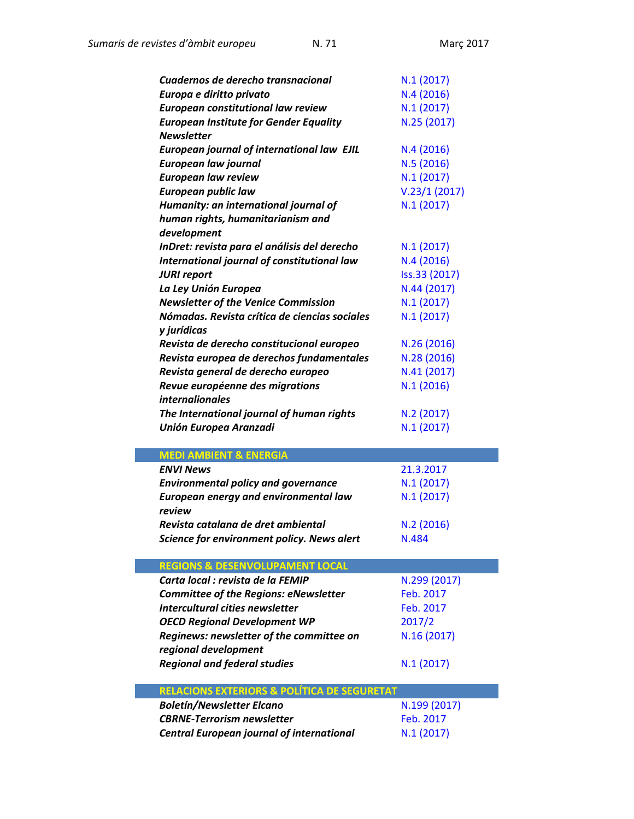| Cuadernos de derecho transnacional                                         | N.1(2017)     |
|----------------------------------------------------------------------------|---------------|
| Europa e diritto privato                                                   | N.4(2016)     |
| <b>European constitutional law review</b>                                  | N.1(2017)     |
| <b>European Institute for Gender Equality</b>                              | N.25 (2017)   |
| <b>Newsletter</b>                                                          |               |
| <b>European journal of international law EJIL</b>                          | N.4(2016)     |
| <b>European law journal</b>                                                | N.5(2016)     |
| <b>European law review</b>                                                 | N.1(2017)     |
| <b>European public law</b>                                                 | V.23/1(2017)  |
| Humanity: an international journal of                                      | N.1(2017)     |
| human rights, humanitarianism and                                          |               |
| development                                                                |               |
| InDret: revista para el análisis del derecho                               | N.1(2017)     |
| International journal of constitutional law                                | N.4(2016)     |
| <b>JURI report</b>                                                         | Iss.33 (2017) |
| La Ley Unión Europea                                                       | N.44 (2017)   |
| <b>Newsletter of the Venice Commission</b>                                 | N.1(2017)     |
| Nómadas. Revista crítica de ciencias sociales                              | N.1(2017)     |
| y jurídicas                                                                |               |
| Revista de derecho constitucional europeo                                  | N.26 (2016)   |
| Revista europea de derechos fundamentales                                  | N.28 (2016)   |
| Revista general de derecho europeo                                         | N.41 (2017)   |
| Revue européenne des migrations                                            | N.1(2016)     |
| <i>internalionales</i>                                                     |               |
|                                                                            | N.2(2017)     |
| The International journal of human rights<br><b>Unión Europea Aranzadi</b> | N.1(2017)     |
|                                                                            |               |
| <b>MEDI AMBIENT &amp; ENERGIA</b>                                          |               |
| <b>ENVI News</b>                                                           | 21.3.2017     |
| <b>Environmental policy and governance</b>                                 | N.1(2017)     |
| <b>European energy and environmental law</b>                               | N.1(2017)     |
| review                                                                     |               |
| Revista catalana de dret ambiental                                         | N.2(2016)     |
| Science for environment policy. News alert                                 | N.484         |
|                                                                            |               |
| <b>REGIONS &amp; DESENVOLUPAMENT LOCAL</b>                                 |               |
| Carta local : revista de la FEMIP                                          | N.299 (2017)  |
| <b>Committee of the Regions: eNewsletter</b>                               | Feb. 2017     |
| Intercultural cities newsletter                                            | Feb. 2017     |
| <b>OECD Regional Development WP</b>                                        | 2017/2        |
| Reginews: newsletter of the committee on                                   | N.16 (2017)   |
| regional development                                                       |               |
| <b>Regional and federal studies</b>                                        | N.1(2017)     |
|                                                                            |               |
| <b>RELACIONS EXTERIORS &amp; POLÍTICA DE SEGURETAT</b>                     |               |
| <b>Boletín/Newsletter Elcano</b>                                           | N.199 (2017)  |
| <b>CBRNE-Terrorism newsletter</b>                                          | Feb. 2017     |
|                                                                            |               |
| <b>Central European journal of international</b>                           | N.1(2017)     |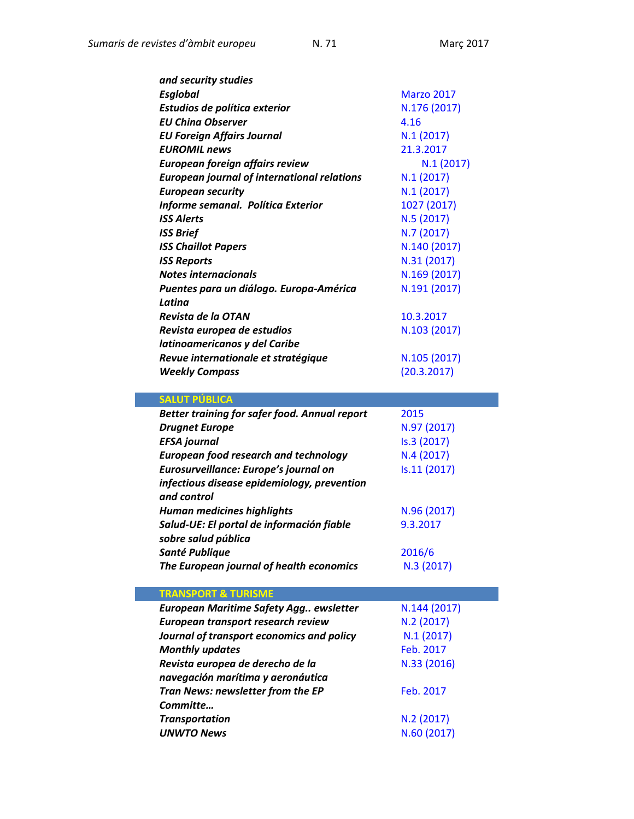| and security studies                               |                   |
|----------------------------------------------------|-------------------|
| <b>Esglobal</b>                                    | <b>Marzo 2017</b> |
| Estudios de política exterior                      | N.176 (2017)      |
| <b>EU China Observer</b>                           | 4.16              |
| <b>EU Foreign Affairs Journal</b>                  | N.1(2017)         |
| <b>EUROMIL news</b>                                | 21.3.2017         |
| European foreign affairs review                    | N.1(2017)         |
| <b>European journal of international relations</b> | N.1(2017)         |
| <b>European security</b>                           | N.1(2017)         |
| Informe semanal. Política Exterior                 | 1027 (2017)       |
| <b>ISS Alerts</b>                                  | N.5 (2017)        |
| <b>ISS Brief</b>                                   | N.7 (2017)        |
| <b>ISS Chaillot Papers</b>                         | N.140 (2017)      |
| <b>ISS Reports</b>                                 | N.31 (2017)       |
| <b>Notes internacionals</b>                        | N.169 (2017)      |
| Puentes para un diálogo. Europa-América            | N.191 (2017)      |
| Latina                                             |                   |
| Revista de la OTAN                                 | 10.3.2017         |
| Revista europea de estudios                        | N.103 (2017)      |
| latinoamericanos y del Caribe                      |                   |
| Revue internationale et stratégique                | N.105 (2017)      |
| <b>Weekly Compass</b>                              | (20.3.2017)       |
|                                                    |                   |

| <b>SALUT PUBLICA</b>                                             |              |
|------------------------------------------------------------------|--------------|
| <b>Better training for safer food. Annual report</b>             | 2015         |
| <b>Drugnet Europe</b>                                            | N.97 (2017)  |
| <b>EFSA</b> journal                                              | Is.3 (2017)  |
| <b>European food research and technology</b>                     | N.4(2017)    |
| Eurosurveillance: Europe's journal on                            | Is.11 (2017) |
| infectious disease epidemiology, prevention<br>and control       |              |
| <b>Human medicines highlights</b>                                | N.96 (2017)  |
| Salud-UE: El portal de información fiable<br>sobre salud pública | 9.3.2017     |
| Santé Publique                                                   | 2016/6       |
| The European journal of health economics                         | N.3(2017)    |
| <b>TRANSPORT &amp; TURISME</b>                                   |              |

| European Maritime Safety Agg ewsletter    | N.144 (2017) |
|-------------------------------------------|--------------|
| European transport research review        | N.2 (2017)   |
| Journal of transport economics and policy | N.1(2017)    |
| <b>Monthly updates</b>                    | Feb. 2017    |
| Revista europea de derecho de la          | N.33 (2016)  |
| navegación marítima y aeronáutica         |              |
| Tran News: newsletter from the EP         | Feb. 2017    |
| Committe                                  |              |
| <b>Transportation</b>                     | N.2 (2017)   |
| <b>UNWTO News</b>                         | N.60 (2017)  |